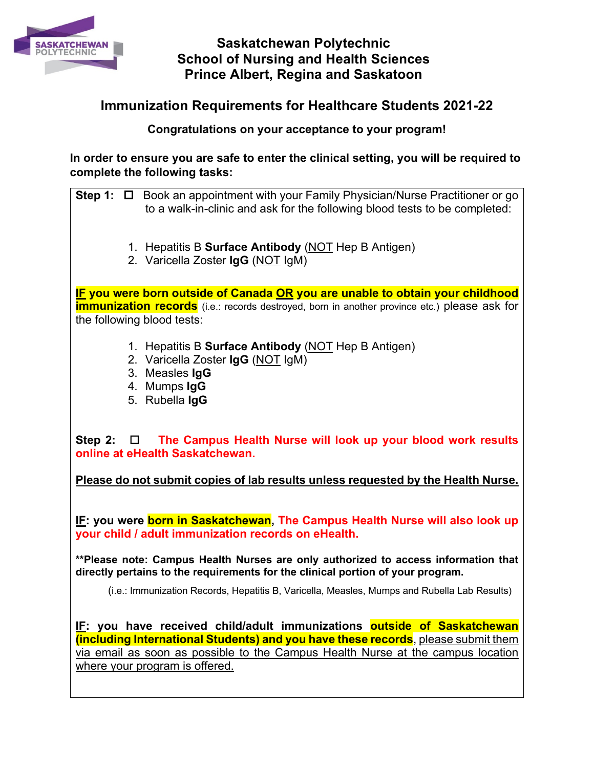

## **Saskatchewan Polytechnic School of Nursing and Health Sciences Prince Albert, Regina and Saskatoon**

## **Immunization Requirements for Healthcare Students 2021-22**

**Congratulations on your acceptance to your program!**

**In order to ensure you are safe to enter the clinical setting, you will be required to complete the following tasks:**

**Step 1:** □ Book an appointment with your Family Physician/Nurse Practitioner or go to a walk-in-clinic and ask for the following blood tests to be completed:

- 1. Hepatitis B **Surface Antibody** (NOT Hep B Antigen)
- 2. Varicella Zoster **IgG** (NOT IgM)

**IF you were born outside of Canada OR you are unable to obtain your childhood immunization records** (i.e.: records destroyed, born in another province etc.) please ask for the following blood tests:

- 1. Hepatitis B **Surface Antibody** (NOT Hep B Antigen)
- 2. Varicella Zoster **IgG** (NOT IgM)
- 3. Measles **IgG**
- 4. Mumps **IgG**
- 5. Rubella **IgG**

Step 2: □ The Campus Health Nurse will look up your blood work results **online at eHealth Saskatchewan.**

**Please do not submit copies of lab results unless requested by the Health Nurse.** 

**IF: you were born in Saskatchewan, The Campus Health Nurse will also look up your child / adult immunization records on eHealth.** 

**\*\*Please note: Campus Health Nurses are only authorized to access information that directly pertains to the requirements for the clinical portion of your program.** 

(i.e.: Immunization Records, Hepatitis B, Varicella, Measles, Mumps and Rubella Lab Results)

**IF: you have received child/adult immunizations outside of Saskatchewan (including International Students) and you have these records**, please submit them via email as soon as possible to the Campus Health Nurse at the campus location where your program is offered.